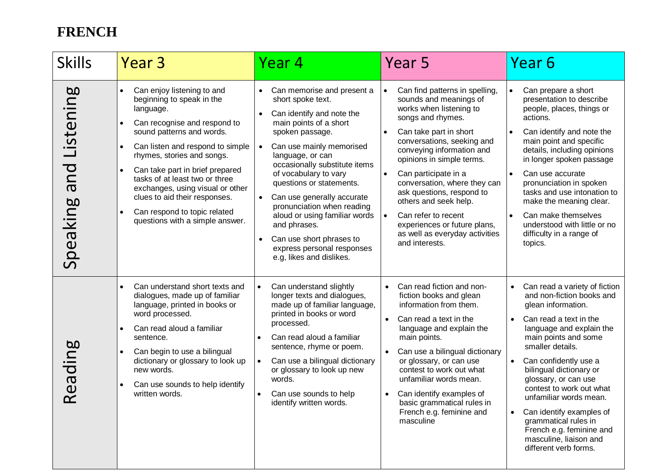## **FRENCH**

| <b>Skills</b>                | Year <sub>3</sub>                                                                                                                                                                                                                                                                                                                                                                                                             | Year 4                                                                                                                                                                                                                                                                                                                                                                                                                                                             | Year 5                                                                                                                                                                                                                                                                                                                                                                                                                                                                        | Year <sub>6</sub>                                                                                                                                                                                                                                                                                                                                                                                                                                                                              |
|------------------------------|-------------------------------------------------------------------------------------------------------------------------------------------------------------------------------------------------------------------------------------------------------------------------------------------------------------------------------------------------------------------------------------------------------------------------------|--------------------------------------------------------------------------------------------------------------------------------------------------------------------------------------------------------------------------------------------------------------------------------------------------------------------------------------------------------------------------------------------------------------------------------------------------------------------|-------------------------------------------------------------------------------------------------------------------------------------------------------------------------------------------------------------------------------------------------------------------------------------------------------------------------------------------------------------------------------------------------------------------------------------------------------------------------------|------------------------------------------------------------------------------------------------------------------------------------------------------------------------------------------------------------------------------------------------------------------------------------------------------------------------------------------------------------------------------------------------------------------------------------------------------------------------------------------------|
| Listening<br>bue<br>Speaking | Can enjoy listening to and<br>$\bullet$<br>beginning to speak in the<br>language.<br>Can recognise and respond to<br>sound patterns and words.<br>Can listen and respond to simple<br>rhymes, stories and songs.<br>Can take part in brief prepared<br>tasks of at least two or three<br>exchanges, using visual or other<br>clues to aid their responses.<br>Can respond to topic related<br>questions with a simple answer. | Can memorise and present a<br>short spoke text.<br>Can identify and note the<br>main points of a short<br>spoken passage.<br>Can use mainly memorised<br>language, or can<br>occasionally substitute items<br>of vocabulary to vary<br>questions or statements.<br>Can use generally accurate<br>pronunciation when reading<br>aloud or using familiar words<br>and phrases.<br>Can use short phrases to<br>express personal responses<br>e.g, likes and dislikes. | Can find patterns in spelling,<br>$\bullet$<br>sounds and meanings of<br>works when listening to<br>songs and rhymes.<br>Can take part in short<br>conversations, seeking and<br>conveying information and<br>opinions in simple terms.<br>Can participate in a<br>conversation, where they can<br>ask questions, respond to<br>others and seek help.<br>Can refer to recent<br>$\bullet$<br>experiences or future plans,<br>as well as everyday activities<br>and interests. | Can prepare a short<br>$\bullet$<br>presentation to describe<br>people, places, things or<br>actions.<br>Can identify and note the<br>main point and specific<br>details, including opinions<br>in longer spoken passage<br>Can use accurate<br>$\bullet$<br>pronunciation in spoken<br>tasks and use intonation to<br>make the meaning clear.<br>Can make themselves<br>understood with little or no<br>difficulty in a range of<br>topics.                                                   |
| Reading                      | Can understand short texts and<br>dialogues, made up of familiar<br>language, printed in books or<br>word processed.<br>Can read aloud a familiar<br>sentence.<br>Can begin to use a bilingual<br>dictionary or glossary to look up<br>new words.<br>Can use sounds to help identify<br>written words.                                                                                                                        | Can understand slightly<br>longer texts and dialogues,<br>made up of familiar language,<br>printed in books or word<br>processed.<br>Can read aloud a familiar<br>sentence, rhyme or poem.<br>Can use a bilingual dictionary<br>or glossary to look up new<br>words.<br>Can use sounds to help<br>identify written words.                                                                                                                                          | Can read fiction and non-<br>$\bullet$<br>fiction books and glean<br>information from them.<br>Can read a text in the<br>$\bullet$<br>language and explain the<br>main points.<br>Can use a bilingual dictionary<br>or glossary, or can use<br>contest to work out what<br>unfamiliar words mean.<br>Can identify examples of<br>basic grammatical rules in<br>French e.g. feminine and<br>masculine                                                                          | Can read a variety of fiction<br>$\bullet$<br>and non-fiction books and<br>glean information.<br>Can read a text in the<br>$\bullet$<br>language and explain the<br>main points and some<br>smaller details.<br>Can confidently use a<br>$\bullet$<br>bilingual dictionary or<br>glossary, or can use<br>contest to work out what<br>unfamiliar words mean.<br>Can identify examples of<br>grammatical rules in<br>French e.g. feminine and<br>masculine, liaison and<br>different verb forms. |